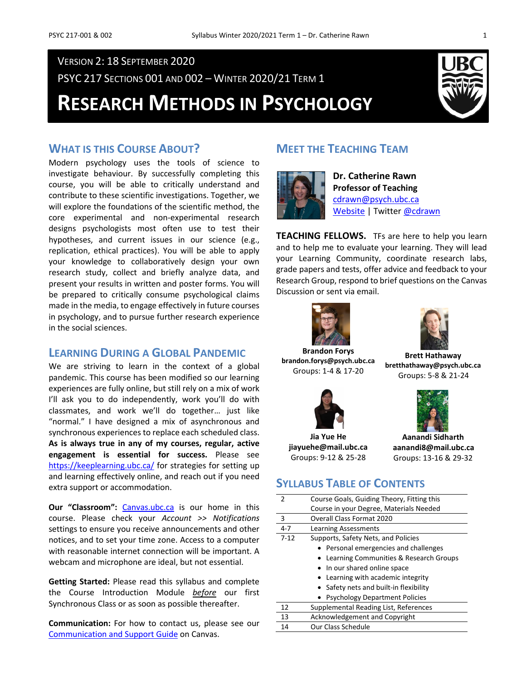### VERSION 2: 18 SEPTEMBER 2020

PSYC 217 SECTIONS 001 AND 002 – WINTER 2020/21 TERM 1

# **RESEARCH METHODS IN PSYCHOLOGY**



### **WHAT IS THIS COURSE ABOUT?**

Modern psychology uses the tools of science to investigate behaviour. By successfully completing this course, you will be able to critically understand and contribute to these scientific investigations. Together, we will explore the foundations of the scientific method, the core experimental and non-experimental research designs psychologists most often use to test their hypotheses, and current issues in our science (e.g., replication, ethical practices). You will be able to apply your knowledge to collaboratively design your own research study, collect and briefly analyze data, and present your results in written and poster forms. You will be prepared to critically consume psychological claims made in the media, to engage effectively in future courses in psychology, and to pursue further research experience in the social sciences.

### **LEARNING DURING A GLOBAL PANDEMIC**

We are striving to learn in the context of a global pandemic. This course has been modified so our learning experiences are fully online, but still rely on a mix of work I'll ask you to do independently, work you'll do with classmates, and work we'll do together… just like "normal." I have designed a mix of asynchronous and synchronous experiences to replace each scheduled class. **As is always true in any of my courses, regular, active engagement is essential for success.** Please see <https://keeplearning.ubc.ca/> for strategies for setting up and learning effectively online, and reach out if you need extra support or accommodation.

**Our "Classroom":** [Canvas.ubc.ca](https://canvas.ubc.ca/) is our home in this course. Please check your *Account >> Notifications* settings to ensure you receive announcements and other notices, and to set your time zone. Access to a computer with reasonable internet connection will be important. A webcam and microphone are ideal, but not essential.

**Getting Started:** Please read this syllabus and complete the Course Introduction Module *before* our first Synchronous Class or as soon as possible thereafter.

**Communication:** For how to contact us, please see our [Communication and Support Guide](https://canvas.ubc.ca/courses/50937/pages/communication-and-support-guide) on Canvas.

### **MEET THE TEACHING TEAM**



**Dr. Catherine Rawn Professor of Teaching** [cdrawn@psych.ubc.ca](mailto:cdrawn@psych.ubc.ca) [Website](http://blogs.ubc.ca/catherinerawn/) | Twitte[r @cdrawn](https://twitter.com/cdrawn)

**TEACHING FELLOWS.** TFs are here to help you learn and to help me to evaluate your learning. They will lead your Learning Community, coordinate research labs, grade papers and tests, offer advice and feedback to your Research Group, respond to brief questions on the Canvas Discussion or sent via email.



**Brandon Forys brandon.forys@psych.ubc.ca** Groups: 1-4 & 17-20



**Jia Yue He jiayuehe@mail.ubc.ca** Groups: 9-12 & 25-28



**Brett Hathaway bretthathaway@psych.ubc.ca** Groups: 5-8 & 21-24



**Aanandi Sidharth aanandi8@mail.ubc.ca** Groups: 13-16 & 29-32

### **SYLLABUS TABLE OF CONTENTS**

| $\mathcal{P}$ | Course Goals, Guiding Theory, Fitting this |  |  |  |  |
|---------------|--------------------------------------------|--|--|--|--|
|               | Course in your Degree, Materials Needed    |  |  |  |  |
| 3             | <b>Overall Class Format 2020</b>           |  |  |  |  |
| $4 - 7$       | Learning Assessments                       |  |  |  |  |
| $7-12$        | Supports, Safety Nets, and Policies        |  |  |  |  |
|               | • Personal emergencies and challenges      |  |  |  |  |
|               | Learning Communities & Research Groups     |  |  |  |  |
|               | • In our shared online space               |  |  |  |  |
|               | Learning with academic integrity           |  |  |  |  |
|               | • Safety nets and built-in flexibility     |  |  |  |  |
|               | <b>Psychology Department Policies</b>      |  |  |  |  |
| 12            | Supplemental Reading List, References      |  |  |  |  |
| 13            | Acknowledgement and Copyright              |  |  |  |  |
| 14            | Our Class Schedule                         |  |  |  |  |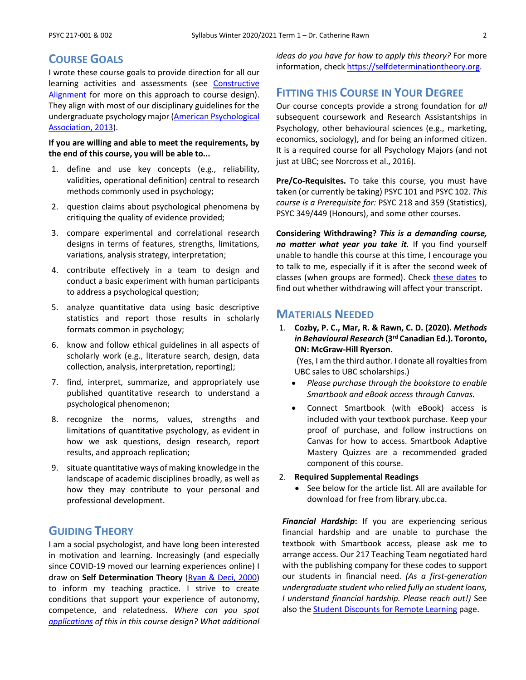### **COURSE GOALS**

I wrote these course goals to provide direction for all our learning activities and assessments (see [Constructive](https://youtu.be/3GegIMZLO24)  [Alignment](https://youtu.be/3GegIMZLO24) for more on this approach to course design). They align with most of our disciplinary guidelines for the undergraduate psychology major (American Psychological [Association, 2013\)](https://www.apa.org/ed/precollege/about/undergraduate-major).

#### **If you are willing and able to meet the requirements, by the end of this course, you will be able to...**

- 1. define and use key concepts (e.g., reliability, validities, operational definition) central to research methods commonly used in psychology;
- 2. question claims about psychological phenomena by critiquing the quality of evidence provided;
- 3. compare experimental and correlational research designs in terms of features, strengths, limitations, variations, analysis strategy, interpretation;
- 4. contribute effectively in a team to design and conduct a basic experiment with human participants to address a psychological question;
- 5. analyze quantitative data using basic descriptive statistics and report those results in scholarly formats common in psychology;
- 6. know and follow ethical guidelines in all aspects of scholarly work (e.g., literature search, design, data collection, analysis, interpretation, reporting);
- 7. find, interpret, summarize, and appropriately use published quantitative research to understand a psychological phenomenon;
- 8. recognize the norms, values, strengths and limitations of quantitative psychology, as evident in how we ask questions, design research, report results, and approach replication;
- 9. situate quantitative ways of making knowledge in the landscape of academic disciplines broadly, as well as how they may contribute to your personal and professional development.

### **GUIDING THEORY**

I am a social psychologist, and have long been interested in motivation and learning. Increasingly (and especially since COVID-19 moved our learning experiences online) I draw on **Self Determination Theory** [\(Ryan & Deci, 2000\)](https://psycnet.apa.org/record/2000-13324-007) to inform my teaching practice. I strive to create conditions that support your experience of autonomy, competence, and relatedness. *Where can you spot [applications](https://selfdeterminationtheory.org/application-education/) of this in this course design? What additional*  *ideas do you have for how to apply this theory?* For more information, check [https://selfdeterminationtheory.org.](https://selfdeterminationtheory.org/)

### **FITTING THIS COURSE IN YOUR DEGREE**

Our course concepts provide a strong foundation for *all* subsequent coursework and Research Assistantships in Psychology, other behavioural sciences (e.g., marketing, economics, sociology), and for being an informed citizen. It is a required course for all Psychology Majors (and not just at UBC; see Norcross et al., 2016).

**Pre/Co-Requisites.** To take this course, you must have taken (or currently be taking) PSYC 101 and PSYC 102. *This course is a Prerequisite for:* PSYC 218 and 359 (Statistics), PSYC 349/449 (Honours), and some other courses.

**Considering Withdrawing?** *This is a demanding course, no matter what year you take it.* If you find yourself unable to handle this course at this time, I encourage you to talk to me, especially if it is after the second week of classes (when groups are formed). Check [these dates](http://www.calendar.ubc.ca/vancouver/index.cfm?page=deadlines) to find out whether withdrawing will affect your transcript.

### **MATERIALS NEEDED**

1. **Cozby, P. C., Mar, R. & Rawn, C. D. (2020).** *Methods in Behavioural Research* **(3rd Canadian Ed.). Toronto, ON: McGraw-Hill Ryerson.**

(Yes, I am the third author. I donate all royalties from UBC sales to UBC scholarships.)

- *Please purchase through the bookstore to enable Smartbook and eBook access through Canvas.*
- Connect Smartbook (with eBook) access is included with your textbook purchase. Keep your proof of purchase, and follow instructions on Canvas for how to access. Smartbook Adaptive Mastery Quizzes are a recommended graded component of this course.

#### 2. **Required Supplemental Readings**

See below for the article list. All are available for download for free from library.ubc.ca.

*Financial Hardship***:** If you are experiencing serious financial hardship and are unable to purchase the textbook with Smartbook access, please ask me to arrange access. Our 217 Teaching Team negotiated hard with the publishing company for these codes to support our students in financial need. *(As a first-generation undergraduate student who relied fully on student loans, I understand financial hardship. Please reach out!)* See also the **Student Discounts for Remote Learning page**.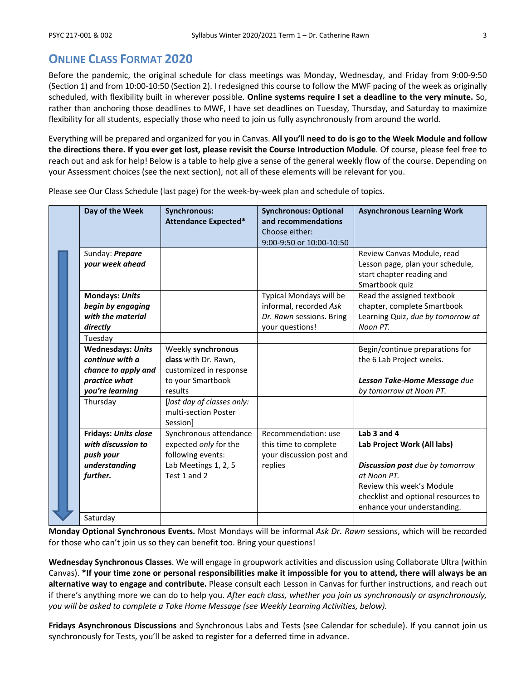### **ONLINE CLASS FORMAT 2020**

Before the pandemic, the original schedule for class meetings was Monday, Wednesday, and Friday from 9:00-9:50 (Section 1) and from 10:00-10:50 (Section 2). I redesigned this course to follow the MWF pacing of the week as originally scheduled, with flexibility built in wherever possible. **Online systems require I set a deadline to the very minute.** So, rather than anchoring those deadlines to MWF, I have set deadlines on Tuesday, Thursday, and Saturday to maximize flexibility for all students, especially those who need to join us fully asynchronously from around the world.

Everything will be prepared and organized for you in Canvas. **All you'll need to do is go to the Week Module and follow the directions there. If you ever get lost, please revisit the Course Introduction Module**. Of course, please feel free to reach out and ask for help! Below is a table to help give a sense of the general weekly flow of the course. Depending on your Assessment choices (see the next section), not all of these elements will be relevant for you.

Please see Our Class Schedule (last page) for the week-by-week plan and schedule of topics.

|  | Day of the Week                                                             | <b>Synchronous:</b><br><b>Attendance Expected*</b>                   | <b>Synchronous: Optional</b><br>and recommendations<br>Choose either:                            | <b>Asynchronous Learning Work</b>                                                                             |
|--|-----------------------------------------------------------------------------|----------------------------------------------------------------------|--------------------------------------------------------------------------------------------------|---------------------------------------------------------------------------------------------------------------|
|  |                                                                             |                                                                      | 9:00-9:50 or 10:00-10:50                                                                         |                                                                                                               |
|  | Sunday: Prepare<br>your week ahead                                          |                                                                      |                                                                                                  | Review Canvas Module, read<br>Lesson page, plan your schedule,<br>start chapter reading and<br>Smartbook quiz |
|  | <b>Mondays: Units</b><br>begin by engaging<br>with the material<br>directly |                                                                      | Typical Mondays will be<br>informal, recorded Ask<br>Dr. Rawn sessions. Bring<br>your questions! | Read the assigned textbook<br>chapter, complete Smartbook<br>Learning Quiz, due by tomorrow at<br>Noon PT.    |
|  | Tuesday                                                                     |                                                                      |                                                                                                  |                                                                                                               |
|  | <b>Wednesdays: Units</b><br>continue with a<br>chance to apply and          | Weekly synchronous<br>class with Dr. Rawn,<br>customized in response |                                                                                                  | Begin/continue preparations for<br>the 6 Lab Project weeks.                                                   |
|  | practice what<br>you're learning                                            | to your Smartbook<br>results                                         |                                                                                                  | Lesson Take-Home Message due<br>by tomorrow at Noon PT.                                                       |
|  | Thursday                                                                    | [last day of classes only:<br>multi-section Poster<br>Session]       |                                                                                                  |                                                                                                               |
|  | <b>Fridays: Units close</b><br>with discussion to<br>push your              | Synchronous attendance<br>expected only for the<br>following events: | Recommendation: use<br>this time to complete<br>your discussion post and                         | Lab 3 and 4<br>Lab Project Work (All labs)                                                                    |
|  | understanding<br>further.                                                   | Lab Meetings 1, 2, 5<br>Test 1 and 2                                 | replies                                                                                          | <b>Discussion post</b> due by tomorrow<br>at Noon PT.<br>Review this week's Module                            |
|  |                                                                             |                                                                      |                                                                                                  | checklist and optional resources to<br>enhance your understanding.                                            |
|  | Saturday                                                                    |                                                                      |                                                                                                  |                                                                                                               |

**Monday Optional Synchronous Events.** Most Mondays will be informal *Ask Dr. Rawn* sessions, which will be recorded for those who can't join us so they can benefit too. Bring your questions!

**Wednesday Synchronous Classes**. We will engage in groupwork activities and discussion using Collaborate Ultra (within Canvas). **\*If your time zone or personal responsibilities make it impossible for you to attend, there will always be an alternative way to engage and contribute.** Please consult each Lesson in Canvas for further instructions, and reach out if there's anything more we can do to help you. *After each class, whether you join us synchronously or asynchronously, you will be asked to complete a Take Home Message (see Weekly Learning Activities, below).*

**Fridays Asynchronous Discussions** and Synchronous Labs and Tests (see Calendar for schedule). If you cannot join us synchronously for Tests, you'll be asked to register for a deferred time in advance.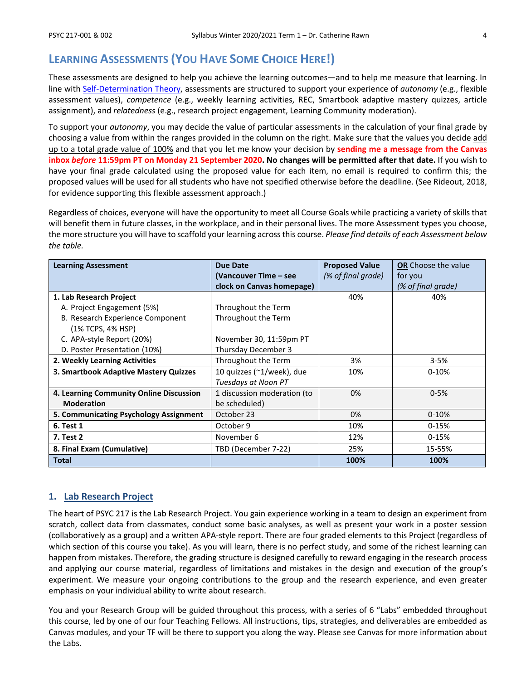### **LEARNING ASSESSMENTS (YOU HAVE SOME CHOICE HERE!)**

These assessments are designed to help you achieve the learning outcomes—and to help me measure that learning. In line with [Self-Determination Theory,](https://selfdeterminationtheory.org/application-education/) assessments are structured to support your experience of *autonomy* (e.g., flexible assessment values), *competence* (e.g., weekly learning activities, REC, Smartbook adaptive mastery quizzes, article assignment), and *relatedness* (e.g., research project engagement, Learning Community moderation).

To support your *autonomy*, you may decide the value of particular assessments in the calculation of your final grade by choosing a value from within the ranges provided in the column on the right. Make sure that the values you decide add up to a total grade value of 100% and that you let me know your decision by **sending me a message from the Canvas inbox** *before* **11:59pm PT on Monday 21 September 2020. No changes will be permitted after that date.** If you wish to have your final grade calculated using the proposed value for each item, no email is required to confirm this; the proposed values will be used for all students who have not specified otherwise before the deadline. (See Rideout, 2018, for evidence supporting this flexible assessment approach.)

Regardless of choices, everyone will have the opportunity to meet all Course Goals while practicing a variety of skills that will benefit them in future classes, in the workplace, and in their personal lives. The more Assessment types you choose, the more structure you will have to scaffold your learning across this course. *Please find details of each Assessment below the table.*

| <b>Learning Assessment</b>              | Due Date                    | <b>Proposed Value</b> | <b>OR</b> Choose the value |  |
|-----------------------------------------|-----------------------------|-----------------------|----------------------------|--|
|                                         | (Vancouver Time – see       | (% of final grade)    | for you                    |  |
|                                         | clock on Canvas homepage)   |                       | (% of final grade)         |  |
| 1. Lab Research Project                 |                             | 40%                   | 40%                        |  |
| A. Project Engagement (5%)              | Throughout the Term         |                       |                            |  |
| B. Research Experience Component        | Throughout the Term         |                       |                            |  |
| (1% TCPS, 4% HSP)                       |                             |                       |                            |  |
| C. APA-style Report (20%)               | November 30, 11:59pm PT     |                       |                            |  |
| D. Poster Presentation (10%)            | Thursday December 3         |                       |                            |  |
| 2. Weekly Learning Activities           | Throughout the Term         | 3%                    | $3 - 5%$                   |  |
| 3. Smartbook Adaptive Mastery Quizzes   | 10 quizzes (~1/week), due   | 10%                   | $0 - 10%$                  |  |
|                                         | Tuesdays at Noon PT         |                       |                            |  |
| 4. Learning Community Online Discussion | 1 discussion moderation (to | 0%                    | $0 - 5%$                   |  |
| <b>Moderation</b>                       | be scheduled)               |                       |                            |  |
| 5. Communicating Psychology Assignment  | October 23                  | 0%                    | $0 - 10%$                  |  |
| 6. Test 1                               | October 9                   | 10%                   | $0 - 15%$                  |  |
| <b>7. Test 2</b>                        | November 6                  | 12%                   | $0-15%$                    |  |
| 8. Final Exam (Cumulative)              | TBD (December 7-22)         | 25%                   | 15-55%                     |  |
| <b>Total</b>                            |                             | 100%                  | 100%                       |  |

### **1. Lab Research Project**

The heart of PSYC 217 is the Lab Research Project. You gain experience working in a team to design an experiment from scratch, collect data from classmates, conduct some basic analyses, as well as present your work in a poster session (collaboratively as a group) and a written APA-style report. There are four graded elements to this Project (regardless of which section of this course you take). As you will learn, there is no perfect study, and some of the richest learning can happen from mistakes. Therefore, the grading structure is designed carefully to reward engaging in the research process and applying our course material, regardless of limitations and mistakes in the design and execution of the group's experiment. We measure your ongoing contributions to the group and the research experience, and even greater emphasis on your individual ability to write about research.

You and your Research Group will be guided throughout this process, with a series of 6 "Labs" embedded throughout this course, led by one of our four Teaching Fellows. All instructions, tips, strategies, and deliverables are embedded as Canvas modules, and your TF will be there to support you along the way. Please see Canvas for more information about the Labs.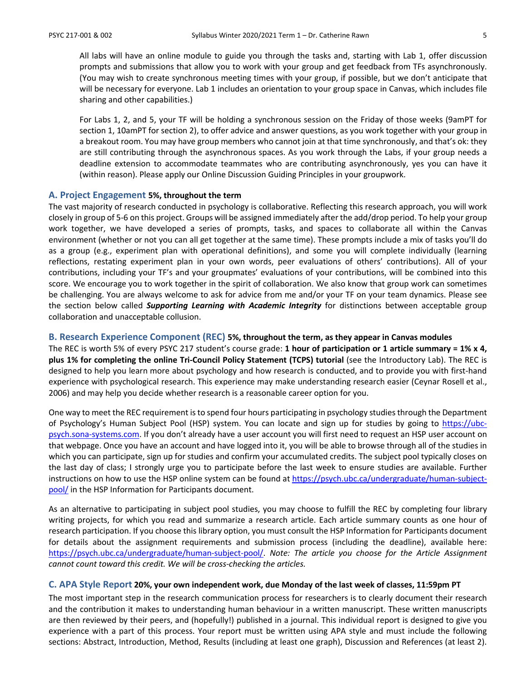All labs will have an online module to guide you through the tasks and, starting with Lab 1, offer discussion prompts and submissions that allow you to work with your group and get feedback from TFs asynchronously. (You may wish to create synchronous meeting times with your group, if possible, but we don't anticipate that will be necessary for everyone. Lab 1 includes an orientation to your group space in Canvas, which includes file sharing and other capabilities.)

For Labs 1, 2, and 5, your TF will be holding a synchronous session on the Friday of those weeks (9amPT for section 1, 10amPT for section 2), to offer advice and answer questions, as you work together with your group in a breakout room. You may have group members who cannot join at that time synchronously, and that's ok: they are still contributing through the asynchronous spaces. As you work through the Labs, if your group needs a deadline extension to accommodate teammates who are contributing asynchronously, yes you can have it (within reason). Please apply our Online Discussion Guiding Principles in your groupwork.

#### **A. Project Engagement 5%, throughout the term**

The vast majority of research conducted in psychology is collaborative. Reflecting this research approach, you will work closely in group of 5-6 on this project. Groups will be assigned immediately after the add/drop period. To help your group work together, we have developed a series of prompts, tasks, and spaces to collaborate all within the Canvas environment (whether or not you can all get together at the same time). These prompts include a mix of tasks you'll do as a group (e.g., experiment plan with operational definitions), and some you will complete individually (learning reflections, restating experiment plan in your own words, peer evaluations of others' contributions). All of your contributions, including your TF's and your groupmates' evaluations of your contributions, will be combined into this score. We encourage you to work together in the spirit of collaboration. We also know that group work can sometimes be challenging. You are always welcome to ask for advice from me and/or your TF on your team dynamics. Please see the section below called *Supporting Learning with Academic Integrity* for distinctions between acceptable group collaboration and unacceptable collusion.

#### **B. Research Experience Component (REC) 5%, throughout the term, as they appear in Canvas modules**

The REC is worth 5% of every PSYC 217 student's course grade: **1 hour of participation or 1 article summary = 1% x 4, plus 1% for completing the online Tri-Council Policy Statement (TCPS) tutorial** (see the Introductory Lab). The REC is designed to help you learn more about psychology and how research is conducted, and to provide you with first-hand experience with psychological research. This experience may make understanding research easier (Ceynar Rosell et al., 2006) and may help you decide whether research is a reasonable career option for you.

One way to meet the REC requirement is to spend four hours participating in psychology studies through the Department of Psychology's Human Subject Pool (HSP) system. You can locate and sign up for studies by going to [https://ubc](https://ubc-psych.sona-systems.com/)[psych.sona-systems.com.](https://ubc-psych.sona-systems.com/) If you don't already have a user account you will first need to request an HSP user account on that webpage. Once you have an account and have logged into it, you will be able to browse through all of the studies in which you can participate, sign up for studies and confirm your accumulated credits. The subject pool typically closes on the last day of class; I strongly urge you to participate before the last week to ensure studies are available. Further instructions on how to use the HSP online system can be found at [https://psych.ubc.ca/undergraduate/human-subject](https://psych.ubc.ca/undergraduate/human-subject-pool/)[pool/](https://psych.ubc.ca/undergraduate/human-subject-pool/) in the HSP Information for Participants document.

As an alternative to participating in subject pool studies, you may choose to fulfill the REC by completing four library writing projects, for which you read and summarize a research article. Each article summary counts as one hour of research participation. If you choose this library option, you must consult the HSP Information for Participants document for details about the assignment requirements and submission process (including the deadline), available here: [https://psych.ubc.ca/undergraduate/human-subject-pool/.](https://psych.ubc.ca/undergraduate/human-subject-pool/) *Note: The article you choose for the Article Assignment cannot count toward this credit. We will be cross-checking the articles.*

#### **C. APA Style Report 20%, your own independent work, due Monday of the last week of classes, 11:59pm PT**

The most important step in the research communication process for researchers is to clearly document their research and the contribution it makes to understanding human behaviour in a written manuscript. These written manuscripts are then reviewed by their peers, and (hopefully!) published in a journal. This individual report is designed to give you experience with a part of this process. Your report must be written using APA style and must include the following sections: Abstract, Introduction, Method, Results (including at least one graph), Discussion and References (at least 2).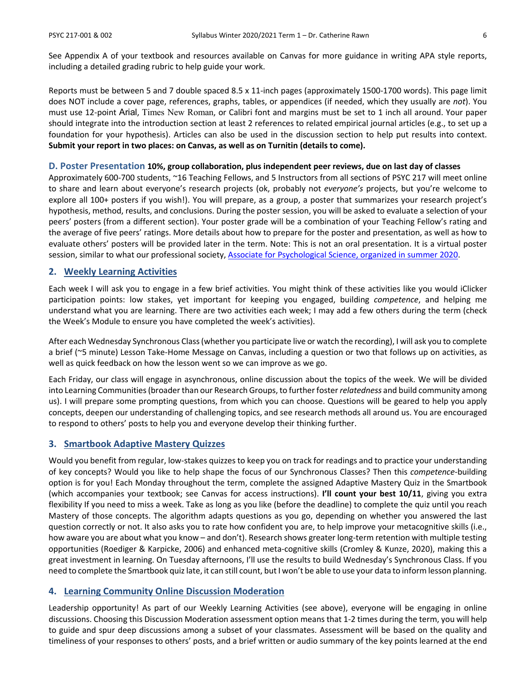See Appendix A of your textbook and resources available on Canvas for more guidance in writing APA style reports, including a detailed grading rubric to help guide your work.

Reports must be between 5 and 7 double spaced 8.5 x 11-inch pages (approximately 1500-1700 words). This page limit does NOT include a cover page, references, graphs, tables, or appendices (if needed, which they usually are *not*). You must use 12-point Arial, Times New Roman, or Calibri font and margins must be set to 1 inch all around. Your paper should integrate into the introduction section at least 2 references to related empirical journal articles (e.g., to set up a foundation for your hypothesis). Articles can also be used in the discussion section to help put results into context. **Submit your report in two places: on Canvas, as well as on Turnitin (details to come).**

#### **D. Poster Presentation 10%, group collaboration, plus independent peer reviews, due on last day of classes**

Approximately 600-700 students, ~16 Teaching Fellows, and 5 Instructors from all sections of PSYC 217 will meet online to share and learn about everyone's research projects (ok, probably not *everyone's* projects, but you're welcome to explore all 100+ posters if you wish!). You will prepare, as a group, a poster that summarizes your research project's hypothesis, method, results, and conclusions. During the poster session, you will be asked to evaluate a selection of your peers' posters (from a different section). Your poster grade will be a combination of your Teaching Fellow's rating and the average of five peers' ratings. More details about how to prepare for the poster and presentation, as well as how to evaluate others' posters will be provided later in the term. Note: This is not an oral presentation. It is a virtual poster session, similar to what our professional society[, Associate for Psychological Science, organized](https://www.psychologicalscience.org/2020-virtual-poster) in summer 2020.

#### **2. Weekly Learning Activities**

Each week I will ask you to engage in a few brief activities. You might think of these activities like you would iClicker participation points: low stakes, yet important for keeping you engaged, building *competence*, and helping me understand what you are learning. There are two activities each week; I may add a few others during the term (check the Week's Module to ensure you have completed the week's activities).

After each Wednesday Synchronous Class (whether you participate live or watch the recording), I will ask you to complete a brief (~5 minute) Lesson Take-Home Message on Canvas, including a question or two that follows up on activities, as well as quick feedback on how the lesson went so we can improve as we go.

Each Friday, our class will engage in asynchronous, online discussion about the topics of the week. We will be divided into Learning Communities (broader than our Research Groups, to further foster *relatedness* and build community among us). I will prepare some prompting questions, from which you can choose. Questions will be geared to help you apply concepts, deepen our understanding of challenging topics, and see research methods all around us. You are encouraged to respond to others' posts to help you and everyone develop their thinking further.

#### **3. Smartbook Adaptive Mastery Quizzes**

Would you benefit from regular, low-stakes quizzes to keep you on track for readings and to practice your understanding of key concepts? Would you like to help shape the focus of our Synchronous Classes? Then this *competence-*building option is for you! Each Monday throughout the term, complete the assigned Adaptive Mastery Quiz in the Smartbook (which accompanies your textbook; see Canvas for access instructions). **I'll count your best 10/11**, giving you extra flexibility If you need to miss a week. Take as long as you like (before the deadline) to complete the quiz until you reach Mastery of those concepts. The algorithm adapts questions as you go, depending on whether you answered the last question correctly or not. It also asks you to rate how confident you are, to help improve your metacognitive skills (i.e., how aware you are about what you know – and don't). Research shows greater long-term retention with multiple testing opportunities (Roediger & Karpicke, 2006) and enhanced meta-cognitive skills (Cromley & Kunze, 2020), making this a great investment in learning. On Tuesday afternoons, I'll use the results to build Wednesday's Synchronous Class. If you need to complete the Smartbook quiz late, it can still count, but I won't be able to use your data to inform lesson planning.

#### **4. Learning Community Online Discussion Moderation**

Leadership opportunity! As part of our Weekly Learning Activities (see above), everyone will be engaging in online discussions. Choosing this Discussion Moderation assessment option means that 1-2 times during the term, you will help to guide and spur deep discussions among a subset of your classmates. Assessment will be based on the quality and timeliness of your responses to others' posts, and a brief written or audio summary of the key points learned at the end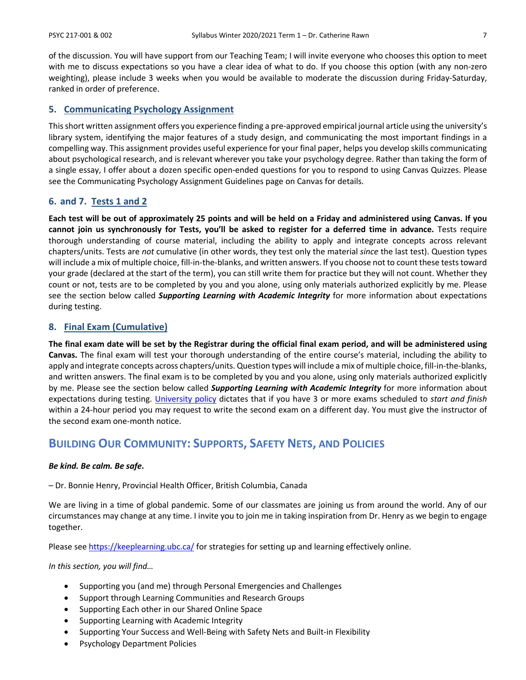of the discussion. You will have support from our Teaching Team; I will invite everyone who chooses this option to meet with me to discuss expectations so you have a clear idea of what to do. If you choose this option (with any non-zero weighting), please include 3 weeks when you would be available to moderate the discussion during Friday-Saturday, ranked in order of preference.

#### **5. Communicating Psychology Assignment**

This short written assignment offers you experience finding a pre-approved empirical journal article using the university's library system, identifying the major features of a study design, and communicating the most important findings in a compelling way. This assignment provides useful experience for your final paper, helps you develop skills communicating about psychological research, and is relevant wherever you take your psychology degree. Rather than taking the form of a single essay, I offer about a dozen specific open-ended questions for you to respond to using Canvas Quizzes. Please see the Communicating Psychology Assignment Guidelines page on Canvas for details.

#### **6. and 7. Tests 1 and 2**

**Each test will be out of approximately 25 points and will be held on a Friday and administered using Canvas. If you cannot join us synchronously for Tests, you'll be asked to register for a deferred time in advance.** Tests require thorough understanding of course material, including the ability to apply and integrate concepts across relevant chapters/units. Tests are *not* cumulative (in other words, they test only the material *since* the last test). Question types will include a mix of multiple choice, fill-in-the-blanks, and written answers. If you choose not to count these tests toward your grade (declared at the start of the term), you can still write them for practice but they will not count. Whether they count or not, tests are to be completed by you and you alone, using only materials authorized explicitly by me. Please see the section below called *Supporting Learning with Academic Integrity* for more information about expectations during testing.

#### **8. Final Exam (Cumulative)**

**The final exam date will be set by the Registrar during the official final exam period, and will be administered using Canvas.** The final exam will test your thorough understanding of the entire course's material, including the ability to apply and integrate concepts across chapters/units. Question types will include a mix of multiple choice, fill-in-the-blanks, and written answers. The final exam is to be completed by you and you alone, using only materials authorized explicitly by me. Please see the section below called *Supporting Learning with Academic Integrity* for more information about expectations during testing. [University policy](http://www.calendar.ubc.ca/vancouver/index.cfm?tree=3,41,91,0) dictates that if you have 3 or more exams scheduled to *start and finish* within a 24-hour period you may request to write the second exam on a different day. You must give the instructor of the second exam one-month notice.

### **BUILDING OUR COMMUNITY: SUPPORTS, SAFETY NETS, AND POLICIES**

#### *Be kind. Be calm. Be safe***.**

– Dr. Bonnie Henry, Provincial Health Officer, British Columbia, Canada

We are living in a time of global pandemic. Some of our classmates are joining us from around the world. Any of our circumstances may change at any time. I invite you to join me in taking inspiration from Dr. Henry as we begin to engage together.

Please se[e https://keeplearning.ubc.ca/](https://keeplearning.ubc.ca/) for strategies for setting up and learning effectively online.

#### *In this section, you will find…*

- Supporting you (and me) through Personal Emergencies and Challenges
- Support through Learning Communities and Research Groups
- Supporting Each other in our Shared Online Space
- Supporting Learning with Academic Integrity
- Supporting Your Success and Well-Being with Safety Nets and Built-in Flexibility
- Psychology Department Policies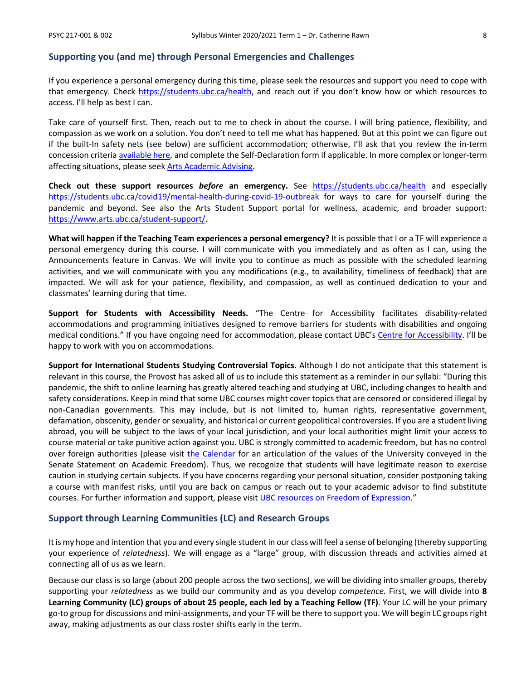#### **Supporting you (and me) through Personal Emergencies and Challenges**

If you experience a personal emergency during this time, please seek the resources and support you need to cope with that emergency. Check [https://students.ubc.ca/health,](https://students.ubc.ca/health) and reach out if you don't know how or which resources to access. I'll help as best I can.

Take care of yourself first. Then, reach out to me to check in about the course. I will bring patience, flexibility, and compassion as we work on a solution. You don't need to tell me what has happened. But at this point we can figure out if the built-In safety nets (see below) are sufficient accommodation; otherwise, I'll ask that you review the in-term concession criteri[a available here,](https://www.arts.ubc.ca/degree-planning/academic-performance/academic-concession/) and complete the Self-Declaration form if applicable. In more complex or longer-term affecting situations, please seek [Arts Academic Advising.](https://students.arts.ubc.ca/advising/contact-us/)

**Check out these support resources** *before* **an emergency.** See <https://students.ubc.ca/health> and especially <https://students.ubc.ca/covid19/mental-health-during-covid-19-outbreak> for ways to care for yourself during the pandemic and beyond. See also the Arts Student Support portal for wellness, academic, and broader support: [https://www.arts.ubc.ca/student-support/.](https://www.arts.ubc.ca/student-support/)

**What will happen if the Teaching Team experiences a personal emergency?** It is possible that I or a TF will experience a personal emergency during this course. I will communicate with you immediately and as often as I can, using the Announcements feature in Canvas. We will invite you to continue as much as possible with the scheduled learning activities, and we will communicate with you any modifications (e.g., to availability, timeliness of feedback) that are impacted. We will ask for your patience, flexibility, and compassion, as well as continued dedication to your and classmates' learning during that time.

**Support for Students with Accessibility Needs.** "The Centre for Accessibility facilitates disability-related accommodations and programming initiatives designed to remove barriers for students with disabilities and ongoing medical conditions." If you have ongoing need for accommodation, please contact UBC's [Centre for Accessibility.](https://students.ubc.ca/about-student-services/centre-for-accessibility) I'll be happy to work with you on accommodations.

**Support for International Students Studying Controversial Topics.** Although I do not anticipate that this statement is relevant in this course, the Provost has asked all of us to include this statement as a reminder in our syllabi: "During this pandemic, the shift to online learning has greatly altered teaching and studying at UBC, including changes to health and safety considerations. Keep in mind that some UBC courses might cover topics that are censored or considered illegal by non-Canadian governments. This may include, but is not limited to, human rights, representative government, defamation, obscenity, gender or sexuality, and historical or current geopolitical controversies. If you are a student living abroad, you will be subject to the laws of your local jurisdiction, and your local authorities might limit your access to course material or take punitive action against you. UBC is strongly committed to academic freedom, but has no control over foreign authorities (please visit [the Calendar](http://www.calendar.ubc.ca/vancouver/index.cfm?tree=3,33,86,0) for an articulation of the values of the University conveyed in the Senate Statement on Academic Freedom). Thus, we recognize that students will have legitimate reason to exercise caution in studying certain subjects. If you have concerns regarding your personal situation, consider postponing taking a course with manifest risks, until you are back on campus or reach out to your academic advisor to find substitute courses. For further information and support, please visit UBC resources on [Freedom of Expression.](http://academic.ubc.ca/support-resources/freedom-expression)"

#### **Support through Learning Communities (LC) and Research Groups**

It is my hope and intention that you and every single student in our class will feel a sense of belonging (thereby supporting your experience of *relatedness*). We will engage as a "large" group, with discussion threads and activities aimed at connecting all of us as we learn.

Because our class is so large (about 200 people across the two sections), we will be dividing into smaller groups, thereby supporting your *relatedness* as we build our community and as you develop *competence.* First, we will divide into **8 Learning Community (LC) groups of about 25 people, each led by a Teaching Fellow (TF)**. Your LC will be your primary go-to group for discussions and mini-assignments, and your TF will be there to support you. We will begin LC groups right away, making adjustments as our class roster shifts early in the term.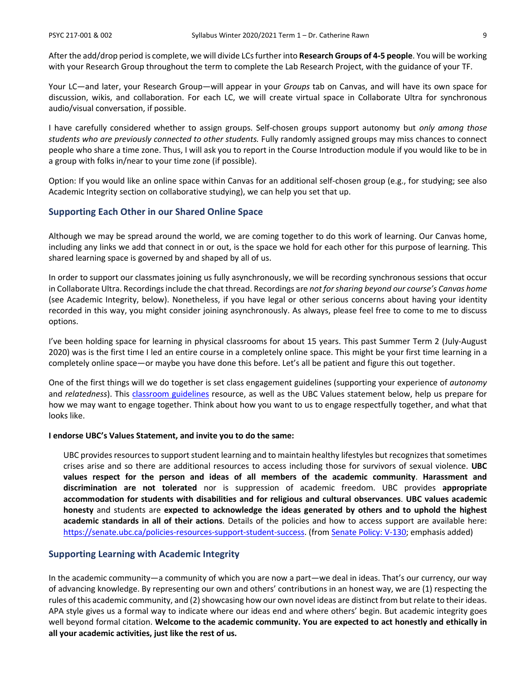After the add/drop period is complete, we will divide LCs further into **Research Groups of 4-5 people**. You will be working with your Research Group throughout the term to complete the Lab Research Project, with the guidance of your TF.

Your LC—and later, your Research Group—will appear in your *Groups* tab on Canvas, and will have its own space for discussion, wikis, and collaboration. For each LC, we will create virtual space in Collaborate Ultra for synchronous audio/visual conversation, if possible.

I have carefully considered whether to assign groups. Self-chosen groups support autonomy but *only among those students who are previously connected to other students.* Fully randomly assigned groups may miss chances to connect people who share a time zone. Thus, I will ask you to report in the Course Introduction module if you would like to be in a group with folks in/near to your time zone (if possible).

Option: If you would like an online space within Canvas for an additional self-chosen group (e.g., for studying; see also Academic Integrity section on collaborative studying), we can help you set that up.

#### **Supporting Each Other in our Shared Online Space**

Although we may be spread around the world, we are coming together to do this work of learning. Our Canvas home, including any links we add that connect in or out, is the space we hold for each other for this purpose of learning. This shared learning space is governed by and shaped by all of us.

In order to support our classmates joining us fully asynchronously, we will be recording synchronous sessions that occur in Collaborate Ultra. Recordings include the chat thread. Recordings are *not for sharing beyond our course's Canvas home*  (see Academic Integrity, below). Nonetheless, if you have legal or other serious concerns about having your identity recorded in this way, you might consider joining asynchronously. As always, please feel free to come to me to discuss options.

I've been holding space for learning in physical classrooms for about 15 years. This past Summer Term 2 (July-August 2020) was is the first time I led an entire course in a completely online space. This might be your first time learning in a completely online space—or maybe you have done this before. Let's all be patient and figure this out together.

One of the first things will we do together is set class engagement guidelines (supporting your experience of *autonomy* and *relatedness*). This [classroom guidelines](https://wiki.ubc.ca/Documentation:Inclusive_Teaching/Classroom_Guidelines) resource, as well as the UBC Values statement below, help us prepare for how we may want to engage together. Think about how you want to us to engage respectfully together, and what that looks like.

#### **I endorse UBC's Values Statement, and invite you to do the same:**

UBC provides resources to support student learning and to maintain healthy lifestyles but recognizes that sometimes crises arise and so there are additional resources to access including those for survivors of sexual violence. **UBC values respect for the person and ideas of all members of the academic community**. **Harassment and discrimination are not tolerated** nor is suppression of academic freedom. UBC provides **appropriate accommodation for students with disabilities and for religious and cultural observances**. **UBC values academic honesty** and students are **expected to acknowledge the ideas generated by others and to uphold the highest academic standards in all of their actions**. Details of the policies and how to access support are available here: [https://senate.ubc.ca/policies-resources-support-student-success.](https://senate.ubc.ca/policies-resources-support-student-success) (from [Senate Policy: V-130;](https://senate.ubc.ca/sites/senate.ubc.ca/files/downloads/Policy-20190207-V-130-Syllabus.pdf) emphasis added)

#### **Supporting Learning with Academic Integrity**

In the academic community—a community of which you are now a part—we deal in ideas. That's our currency, our way of advancing knowledge. By representing our own and others' contributions in an honest way, we are (1) respecting the rules of this academic community, and (2) showcasing how our own novel ideas are distinct from but relate to their ideas. APA style gives us a formal way to indicate where our ideas end and where others' begin. But academic integrity goes well beyond formal citation. **Welcome to the academic community. You are expected to act honestly and ethically in all your academic activities, just like the rest of us.**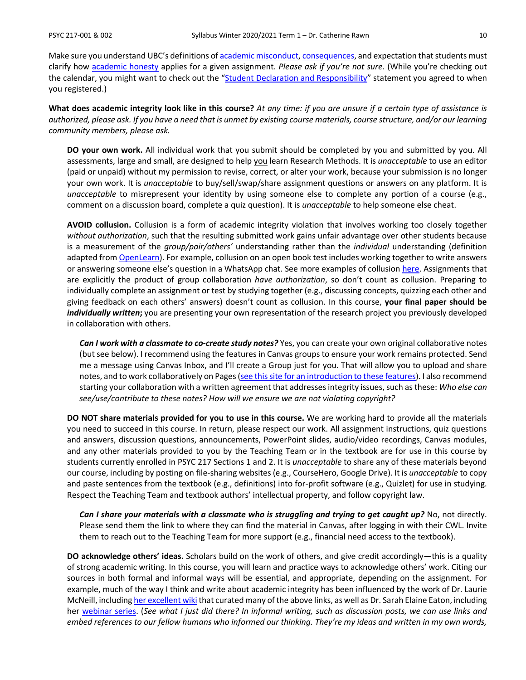Make sure you understand UBC's definitions o[f academic misconduct,](http://www.calendar.ubc.ca/Vancouver/index.cfm?tree=3,54,111,959) [consequences,](http://www.calendar.ubc.ca/Vancouver/index.cfm?tree=3,54,111,960) and expectation that students must clarify how [academic honesty](http://www.calendar.ubc.ca/Vancouver/index.cfm?tree=3,286,0,0) applies for a given assignment. *Please ask if you're not sure.* (While you're checking out the calendar, you might want to check out the ["Student Declaration and Responsibility"](http://www.calendar.ubc.ca/Vancouver/index.cfm?tree=3,285,0,0) statement you agreed to when you registered.)

**What does academic integrity look like in this course?** *At any time: if you are unsure if a certain type of assistance is authorized, please ask. If you have a need that is unmet by existing course materials, course structure, and/or our learning community members, please ask.*

**DO your own work.** All individual work that you submit should be completed by you and submitted by you. All assessments, large and small, are designed to help you learn Research Methods. It is *unacceptable* to use an editor (paid or unpaid) without my permission to revise, correct, or alter your work, because your submission is no longer your own work. It is *unacceptable* to buy/sell/swap/share assignment questions or answers on any platform. It is *unacceptable* to misrepresent your identity by using someone else to complete any portion of a course (e.g., comment on a discussion board, complete a quiz question). It is *unacceptable* to help someone else cheat.

**AVOID collusion.** Collusion is a form of academic integrity violation that involves working too closely together *without authorization*, such that the resulting submitted work gains unfair advantage over other students because is a measurement of the *group/pair/others'* understanding rather than the *individual* understanding (definition adapted fro[m OpenLearn\)](https://www.open.edu/openlearn/education/educational-technology-and-practice/educational-practice/developing-good-academic-practice/content-section-3.2). For example, collusion on an open book test includes working together to write answers or answering someone else's question in a WhatsApp chat. See more examples of collusio[n here.](https://www.open.edu/openlearn/education/educational-technology-and-practice/educational-practice/developing-good-academic-practice/content-section-3.2) Assignments that are explicitly the product of group collaboration *have authorization*, so don't count as collusion. Preparing to individually complete an assignment or test by studying together (e.g., discussing concepts, quizzing each other and giving feedback on each others' answers) doesn't count as collusion. In this course, **your final paper should be**  *individually written***;** you are presenting your own representation of the research project you previously developed in collaboration with others.

*Can I work with a classmate to co-create study notes?* Yes, you can create your own original collaborative notes (but see below). I recommend using the features in Canvas groups to ensure your work remains protected. Send me a message using Canvas Inbox, and I'll create a Group just for you. That will allow you to upload and share notes, and to work collaboratively on Pages [\(see this site for an introduction to these features\)](https://students.canvas.ubc.ca/navigating-canvas-groups/). I also recommend starting your collaboration with a written agreement that addresses integrity issues, such as these: *Who else can see/use/contribute to these notes? How will we ensure we are not violating copyright?*

**DO NOT share materials provided for you to use in this course.** We are working hard to provide all the materials you need to succeed in this course. In return, please respect our work. All assignment instructions, quiz questions and answers, discussion questions, announcements, PowerPoint slides, audio/video recordings, Canvas modules, and any other materials provided to you by the Teaching Team or in the textbook are for use in this course by students currently enrolled in PSYC 217 Sections 1 and 2. It is *unacceptable* to share any of these materials beyond our course, including by posting on file-sharing websites (e.g., CourseHero, Google Drive). It is *unacceptable* to copy and paste sentences from the textbook (e.g., definitions) into for-profit software (e.g., Quizlet) for use in studying. Respect the Teaching Team and textbook authors' intellectual property, and follow copyright law.

*Can I share your materials with a classmate who is struggling and trying to get caught up?* No, not directly. Please send them the link to where they can find the material in Canvas, after logging in with their CWL. Invite them to reach out to the Teaching Team for more support (e.g., financial need access to the textbook).

**DO acknowledge others' ideas.** Scholars build on the work of others, and give credit accordingly—this is a quality of strong academic writing. In this course, you will learn and practice ways to acknowledge others' work. Citing our sources in both formal and informal ways will be essential, and appropriate, depending on the assignment. For example, much of the way I think and write about academic integrity has been influenced by the work of Dr. Laurie McNeill, includin[g her excellent wiki](https://wiki.ubc.ca/Learning_Commons:Faculty_Resources/Academic_Integrity) that curated many of the above links, as well as Dr. Sarah Elaine Eaton, including her [webinar series.](https://taylorinstitute.ucalgary.ca/series/academic-integrity-urgent-emerging-topics) (*See what I just did there? In informal writing, such as discussion posts, we can use links and embed references to our fellow humans who informed our thinking. They're my ideas and written in my own words,*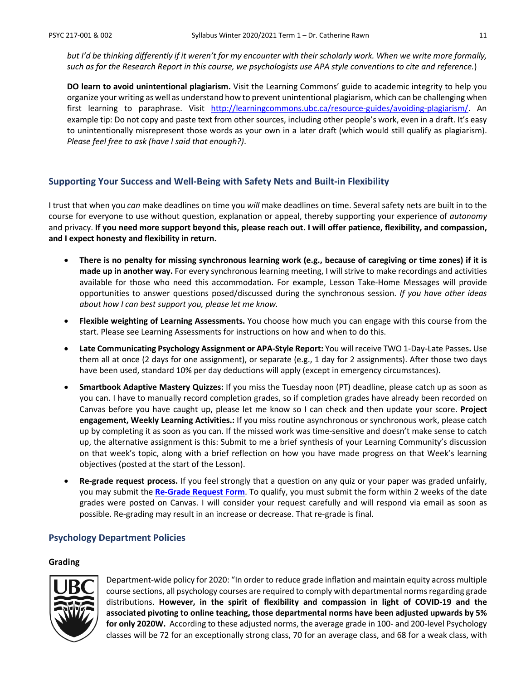*but I'd be thinking differently if it weren't for my encounter with their scholarly work. When we write more formally, such as for the Research Report in this course, we psychologists use APA style conventions to cite and reference.*)

**DO learn to avoid unintentional plagiarism.** Visit the Learning Commons' guide to academic integrity to help you organize your writing as well as understand how to prevent unintentional plagiarism, which can be challenging when first learning to paraphrase. Visit [http://learningcommons.ubc.ca/resource-guides/avoiding-plagiarism/.](http://learningcommons.ubc.ca/resource-guides/avoiding-plagiarism/) An example tip: Do not copy and paste text from other sources, including other people's work, even in a draft. It's easy to unintentionally misrepresent those words as your own in a later draft (which would still qualify as plagiarism). *Please feel free to ask (have I said that enough?)*.

#### **Supporting Your Success and Well-Being with Safety Nets and Built-in Flexibility**

I trust that when you *can* make deadlines on time you *will* make deadlines on time. Several safety nets are built in to the course for everyone to use without question, explanation or appeal, thereby supporting your experience of *autonomy* and privacy. **If you need more support beyond this, please reach out. I will offer patience, flexibility, and compassion, and I expect honesty and flexibility in return.**

- **There is no penalty for missing synchronous learning work (e.g., because of caregiving or time zones) if it is made up in another way.** For every synchronous learning meeting, I will strive to make recordings and activities available for those who need this accommodation. For example, Lesson Take-Home Messages will provide opportunities to answer questions posed/discussed during the synchronous session. *If you have other ideas about how I can best support you, please let me know.*
- **Flexible weighting of Learning Assessments.** You choose how much you can engage with this course from the start. Please see Learning Assessments for instructions on how and when to do this.
- **Late Communicating Psychology Assignment or APA-Style Report:** You will receive TWO 1-Day-Late Passes**.** Use them all at once (2 days for one assignment), or separate (e.g., 1 day for 2 assignments). After those two days have been used, standard 10% per day deductions will apply (except in emergency circumstances).
- **Smartbook Adaptive Mastery Quizzes:** If you miss the Tuesday noon (PT) deadline, please catch up as soon as you can. I have to manually record completion grades, so if completion grades have already been recorded on Canvas before you have caught up, please let me know so I can check and then update your score. **Project engagement, Weekly Learning Activities.:** If you miss routine asynchronous or synchronous work, please catch up by completing it as soon as you can. If the missed work was time-sensitive and doesn't make sense to catch up, the alternative assignment is this: Submit to me a brief synthesis of your Learning Community's discussion on that week's topic, along with a brief reflection on how you have made progress on that Week's learning objectives (posted at the start of the Lesson).
- **Re-grade request process.** If you feel strongly that a question on any quiz or your paper was graded unfairly, you may submit the **[Re-Grade Request Form](https://ubcarts.ca1.qualtrics.com/jfe/form/SV_a9m73Sk3N9ApUrP)**. To qualify, you must submit the form within 2 weeks of the date grades were posted on Canvas. I will consider your request carefully and will respond via email as soon as possible. Re-grading may result in an increase or decrease. That re-grade is final.

#### **Psychology Department Policies**

#### **Grading**



Department-wide policy for 2020: "In order to reduce grade inflation and maintain equity across multiple course sections, all psychology courses are required to comply with departmental norms regarding grade distributions. **However, in the spirit of flexibility and compassion in light of COVID-19 and the associated pivoting to online teaching, those departmental norms have been adjusted upwards by 5% for only 2020W.** According to these adjusted norms, the average grade in 100- and 200-level Psychology classes will be 72 for an exceptionally strong class, 70 for an average class, and 68 for a weak class, with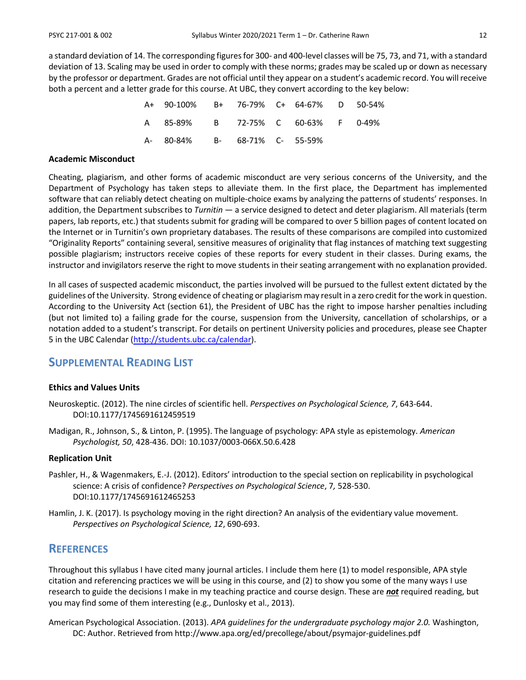a standard deviation of 14. The corresponding figures for 300- and 400-level classes will be 75, 73, and 71, with a standard deviation of 13. Scaling may be used in order to comply with these norms; grades may be scaled up or down as necessary by the professor or department. Grades are not official until they appear on a student's academic record. You will receive both a percent and a letter grade for this course. At UBC, they convert according to the key below:

| A+ 90-100% B+ 76-79% C+ 64-67% D 50-54% |  |  |  |
|-----------------------------------------|--|--|--|
| A 85-89% B 72-75% C 60-63% F 0-49%      |  |  |  |
| A- 80-84% B- 68-71% C- 55-59%           |  |  |  |

#### **Academic Misconduct**

Cheating, plagiarism, and other forms of academic misconduct are very serious concerns of the University, and the Department of Psychology has taken steps to alleviate them. In the first place, the Department has implemented software that can reliably detect cheating on multiple-choice exams by analyzing the patterns of students' responses. In addition, the Department subscribes to *Turnitin* — a service designed to detect and deter plagiarism. All materials (term papers, lab reports, etc.) that students submit for grading will be compared to over 5 billion pages of content located on the Internet or in Turnitin's own proprietary databases. The results of these comparisons are compiled into customized "Originality Reports" containing several, sensitive measures of originality that flag instances of matching text suggesting possible plagiarism; instructors receive copies of these reports for every student in their classes. During exams, the instructor and invigilators reserve the right to move students in their seating arrangement with no explanation provided.

In all cases of suspected academic misconduct, the parties involved will be pursued to the fullest extent dictated by the guidelines of the University. Strong evidence of cheating or plagiarism may result in a zero credit for the work in question. According to the University Act (section 61), the President of UBC has the right to impose harsher penalties including (but not limited to) a failing grade for the course, suspension from the University, cancellation of scholarships, or a notation added to a student's transcript. For details on pertinent University policies and procedures, please see Chapter 5 in the UBC Calendar [\(http://students.ubc.ca/calendar\)](http://students.ubc.ca/calendar).

### **SUPPLEMENTAL READING LIST**

#### **Ethics and Values Units**

- Neuroskeptic. (2012). The nine circles of scientific hell. *Perspectives on Psychological Science, 7*, 643-644. DOI:10.1177/1745691612459519
- Madigan, R., Johnson, S., & Linton, P. (1995). The language of psychology: APA style as epistemology. *American Psychologist, 50*, 428-436. DOI: 10.1037/0003-066X.50.6.428

#### **Replication Unit**

- Pashler, H., & Wagenmakers, E.-J. (2012). Editors' introduction to the special section on replicability in psychological science: A crisis of confidence? *Perspectives on Psychological Science*, 7*,* 528-530. DOI:10.1177/1745691612465253
- Hamlin, J. K. (2017). Is psychology moving in the right direction? An analysis of the evidentiary value movement. *Perspectives on Psychological Science, 12*, 690-693.

### **REFERENCES**

Throughout this syllabus I have cited many journal articles. I include them here (1) to model responsible, APA style citation and referencing practices we will be using in this course, and (2) to show you some of the many ways I use research to guide the decisions I make in my teaching practice and course design. These are *not* required reading, but you may find some of them interesting (e.g., Dunlosky et al., 2013).

American Psychological Association. (2013). *APA guidelines for the undergraduate psychology major 2.0.* Washington, DC: Author. Retrieved from http://www.apa.org/ed/precollege/about/psymajor-guidelines.pdf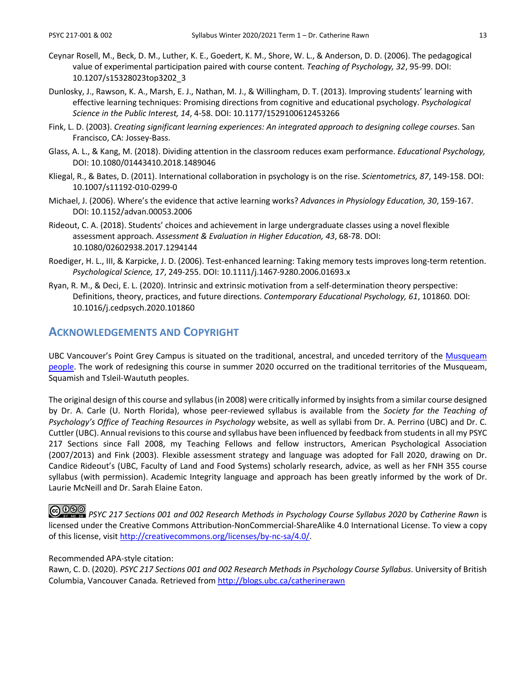- Ceynar Rosell, M., Beck, D. M., Luther, K. E., Goedert, K. M., Shore, W. L., & Anderson, D. D. (2006). The pedagogical value of experimental participation paired with course content. *Teaching of Psychology, 32*, 95-99. DOI: 10.1207/s15328023top3202\_3
- Dunlosky, J., Rawson, K. A., Marsh, E. J., Nathan, M. J., & Willingham, D. T. (2013). Improving students' learning with effective learning techniques: Promising directions from cognitive and educational psychology. *Psychological Science in the Public Interest, 14*, 4-58. DOI: 10.1177/1529100612453266
- Fink, L. D. (2003). *Creating significant learning experiences: An integrated approach to designing college courses*. San Francisco, CA: Jossey-Bass.
- Glass, A. L., & Kang, M. (2018). Dividing attention in the classroom reduces exam performance. *Educational Psychology,*  DOI: 10.1080/01443410.2018.1489046
- Kliegal, R., & Bates, D. (2011). International collaboration in psychology is on the rise. *Scientometrics, 87*, 149-158. DOI: 10.1007/s11192-010-0299-0
- Michael, J. (2006). Where's the evidence that active learning works? *Advances in Physiology Education, 30*, 159-167. DOI: 10.1152/advan.00053.2006
- Rideout, C. A. (2018). Students' choices and achievement in large undergraduate classes using a novel flexible assessment approach. *Assessment & Evaluation in Higher Education, 43*, 68-78. DOI: 10.1080/02602938.2017.1294144
- Roediger, H. L., III, & Karpicke, J. D. (2006). Test-enhanced learning: Taking memory tests improves long-term retention. *Psychological Science, 17*, 249-255. DOI: 10.1111/j.1467-9280.2006.01693.x
- Ryan, R. M., & Deci, E. L. (2020). Intrinsic and extrinsic motivation from a self-determination theory perspective: Definitions, theory, practices, and future directions. *Contemporary Educational Psychology, 61*, 101860*.* DOI: 10.1016/j.cedpsych.2020.101860

### **ACKNOWLEDGEMENTS AND COPYRIGHT**

UBC Vancouver's Point Grey Campus is situated on the traditional, ancestral, and unceded territory of the [Musqueam](http://aboriginal.ubc.ca/community-youth/%20musqueam-and-ubc/)  [people.](http://aboriginal.ubc.ca/community-youth/%20musqueam-and-ubc/) The work of redesigning this course in summer 2020 occurred on the traditional territories of the Musqueam, Squamish and Tsleil-Waututh peoples.

The original design of this course and syllabus (in 2008) were critically informed by insights from a similar course designed by Dr. A. Carle (U. North Florida), whose peer-reviewed syllabus is available from the *Society for the Teaching of Psychology's Office of Teaching Resources in Psychology* website, as well as syllabi from Dr. A. Perrino (UBC) and Dr. C. Cuttler (UBC). Annual revisions to this course and syllabus have been influenced by feedback from students in all my PSYC 217 Sections since Fall 2008, my Teaching Fellows and fellow instructors, American Psychological Association (2007/2013) and Fink (2003). Flexible assessment strategy and language was adopted for Fall 2020, drawing on Dr. Candice Rideout's (UBC, Faculty of Land and Food Systems) scholarly research, advice, as well as her FNH 355 course syllabus (with permission). Academic Integrity language and approach has been greatly informed by the work of Dr. Laurie McNeill and Dr. Sarah Elaine Eaton.

*PSYC 217 Sections 001 and 002 Research Methods in Psychology Course Syllabus 2020* by *Catherine Rawn* is licensed under the Creative Commons Attribution-NonCommercial-ShareAlike 4.0 International License. To view a copy of this license, visi[t http://creativecommons.org/licenses/by-nc-sa/4.0/.](http://creativecommons.org/licenses/by-nc-sa/4.0/)

#### Recommended APA-style citation:

Rawn, C. D. (2020). *PSYC 217 Sections 001 and 002 Research Methods in Psychology Course Syllabus*. University of British Columbia, Vancouver Canada*.* Retrieved fro[m http://blogs.ubc.ca/catherinerawn](http://blogs.ubc.ca/catherinerawn)